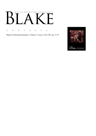# AN ILLUSTRATED QUARTERLY ٦<br>۱  $\begin{bmatrix} 1 & 1 \\ 1 & 1 \end{bmatrix}$  $\bm{\mathsf{B}}$

C O N T E N T S

Blake/An Illustrated Quarterly, Volume 27, Issue 2, Fall 1993, pp. 33-35

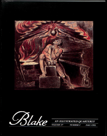



AN ILLUSTRATED QUARTERLY VOLUME 27 **NUMBER 2** 

**FALL 1993**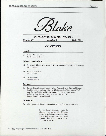

*AN ILLUSTRATED QUARTERLY* 

*Volume 27 Number 2 FaU 1993* 

## *CONTENTS*

## *Articles*

36 Blake's 1812 Exhibition by Robert N. Essick

### *Minute Particulars*

- 42 Two Newly Identified Sketches for Thomas Commins's *An Elegy.* A Postscript Martin Butlin
- 44 Paolozzi's Newton Martin Butlin
- 45 To the Editors Andrew Lincoln

### *Reviews*

46 Rehistoricizing Romantic Ideology: New Perspectives on Class and Gender Conflict, 1730-1800; Henry Abelove, *The Evangelist of Desire: John Wesley and the Methodists*; and Donna Landry, *The Muses of Resistance:* Laboring-Class Women's Poetry in Britain, 1739-1796 Review Essay by Laura Mandell

### *Newsletter*

63 *Placing and Displacing Romanticism, Secrets of Eternity,* Job *Revival* 

Cover: Cover. *Jerusalem* plate 6, trimmed to the design only. Woodcut on pewter, technique on a copperplate, printed in blue and black with hand coloring. 16.2 x 14.5 cm. Photo courtesy of Christie's New York.